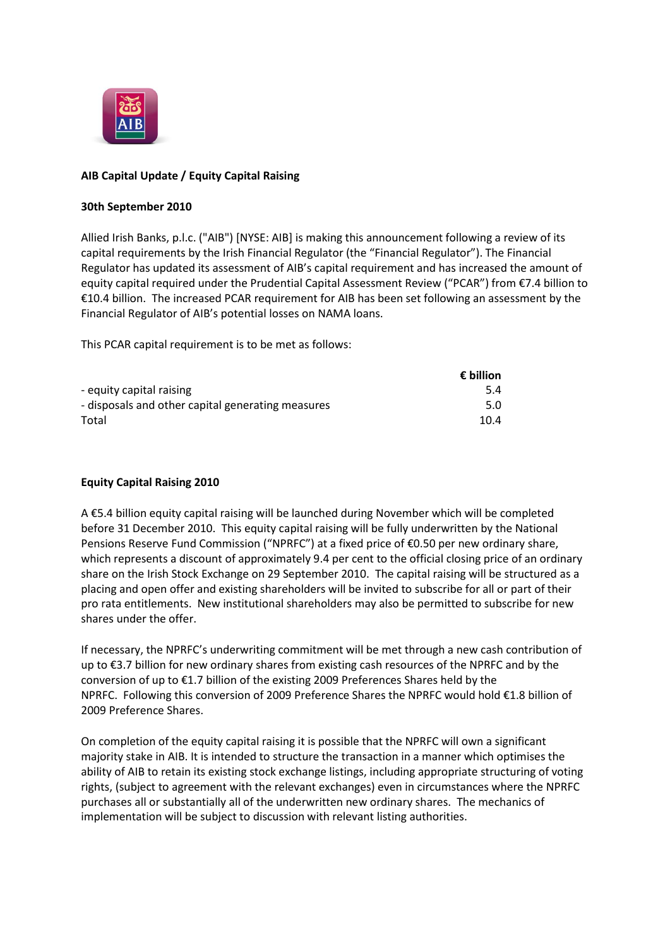

# **AIB Capital Update / Equity Capital Raising**

### **30th September 2010**

Allied Irish Banks, p.l.c. ("AIB") [NYSE: AIB] is making this announcement following a review of its capital requirements by the Irish Financial Regulator (the "Financial Regulator"). The Financial Regulator has updated its assessment of AIB's capital requirement and has increased the amount of equity capital required under the Prudential Capital Assessment Review ("PCAR") from €7.4 billion to €10.4 billion. The increased PCAR requirement for AIB has been set following an assessment by the Financial Regulator of AIB's potential losses on NAMA loans.

This PCAR capital requirement is to be met as follows:

|                                                   | $\epsilon$ billion |
|---------------------------------------------------|--------------------|
| - equity capital raising                          | 5.4                |
| - disposals and other capital generating measures | 5.0                |
| Total                                             | 10.4               |

## **Equity Capital Raising 2010**

A €5.4 billion equity capital raising will be launched during November which will be completed before 31 December 2010. This equity capital raising will be fully underwritten by the National Pensions Reserve Fund Commission ("NPRFC") at a fixed price of €0.50 per new ordinary share, which represents a discount of approximately 9.4 per cent to the official closing price of an ordinary share on the Irish Stock Exchange on 29 September 2010. The capital raising will be structured as a placing and open offer and existing shareholders will be invited to subscribe for all or part of their pro rata entitlements. New institutional shareholders may also be permitted to subscribe for new shares under the offer.

If necessary, the NPRFC's underwriting commitment will be met through a new cash contribution of up to €3.7 billion for new ordinary shares from existing cash resources of the NPRFC and by the conversion of up to €1.7 billion of the existing 2009 Preferences Shares held by the NPRFC. Following this conversion of 2009 Preference Shares the NPRFC would hold €1.8 billion of 2009 Preference Shares.

On completion of the equity capital raising it is possible that the NPRFC will own a significant majority stake in AIB. It is intended to structure the transaction in a manner which optimises the ability of AIB to retain its existing stock exchange listings, including appropriate structuring of voting rights, (subject to agreement with the relevant exchanges) even in circumstances where the NPRFC purchases all or substantially all of the underwritten new ordinary shares. The mechanics of implementation will be subject to discussion with relevant listing authorities.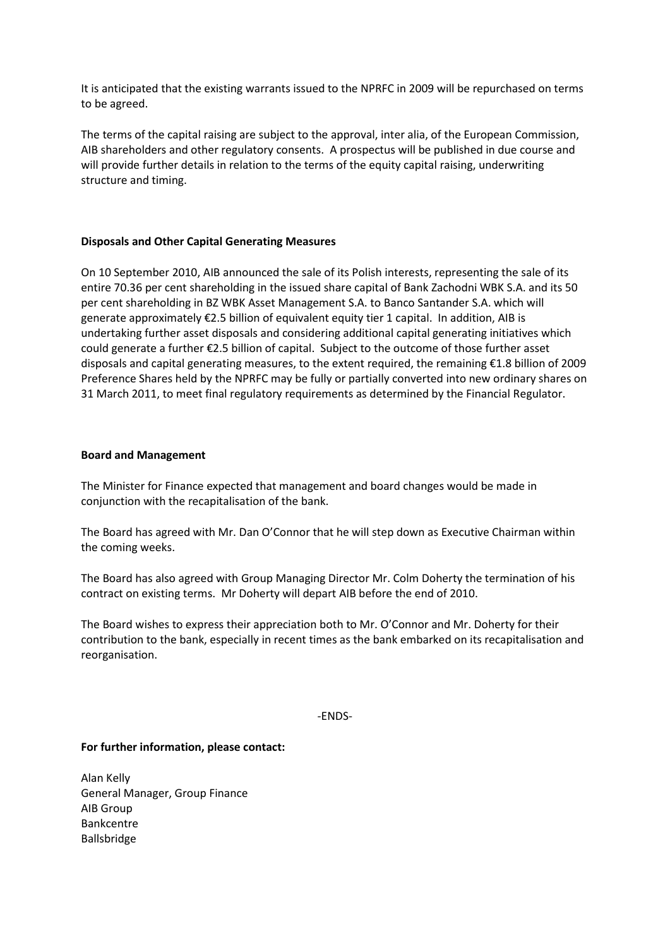It is anticipated that the existing warrants issued to the NPRFC in 2009 will be repurchased on terms to be agreed.

The terms of the capital raising are subject to the approval, inter alia, of the European Commission, AIB shareholders and other regulatory consents. A prospectus will be published in due course and will provide further details in relation to the terms of the equity capital raising, underwriting structure and timing.

## **Disposals and Other Capital Generating Measures**

On 10 September 2010, AIB announced the sale of its Polish interests, representing the sale of its entire 70.36 per cent shareholding in the issued share capital of Bank Zachodni WBK S.A. and its 50 per cent shareholding in BZ WBK Asset Management S.A. to Banco Santander S.A. which will generate approximately €2.5 billion of equivalent equity tier 1 capital. In addition, AIB is undertaking further asset disposals and considering additional capital generating initiatives which could generate a further €2.5 billion of capital. Subject to the outcome of those further asset disposals and capital generating measures, to the extent required, the remaining €1.8 billion of 2009 Preference Shares held by the NPRFC may be fully or partially converted into new ordinary shares on 31 March 2011, to meet final regulatory requirements as determined by the Financial Regulator.

#### **Board and Management**

The Minister for Finance expected that management and board changes would be made in conjunction with the recapitalisation of the bank.

The Board has agreed with Mr. Dan O'Connor that he will step down as Executive Chairman within the coming weeks.

The Board has also agreed with Group Managing Director Mr. Colm Doherty the termination of his contract on existing terms. Mr Doherty will depart AIB before the end of 2010.

The Board wishes to express their appreciation both to Mr. O'Connor and Mr. Doherty for their contribution to the bank, especially in recent times as the bank embarked on its recapitalisation and reorganisation.

-ENDS-

#### **For further information, please contact:**

Alan Kelly General Manager, Group Finance AIB Group Bankcentre Ballsbridge